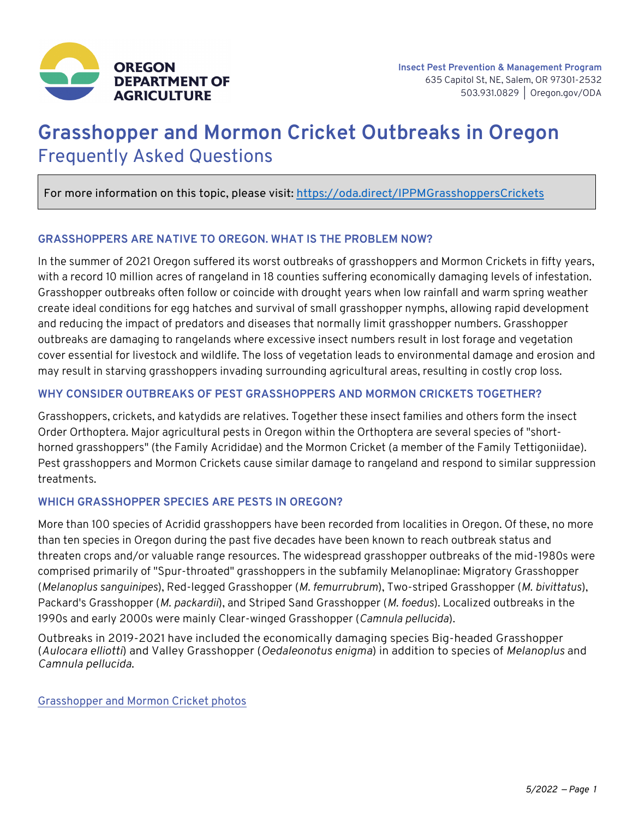

# **Grasshopper and Mormon Cricket Outbreaks in Oregon** Frequently Asked Questions

For more information on this topic, please visit: https://oda.direct/IPPMGrasshoppersCrickets

## **GRASSHOPPERS ARE NATIVE TO OREGON. WHAT IS THE PROBLEM NOW?**

In the summer of 2021 Oregon suffered its worst outbreaks of grasshoppers and Mormon Crickets in fifty years, with a record 10 million acres of rangeland in 18 counties suffering economically damaging levels of infestation. Grasshopper outbreaks often follow or coincide with drought years when low rainfall and warm spring weather create ideal conditions for egg hatches and survival of small grasshopper nymphs, allowing rapid development and reducing the impact of predators and diseases that normally limit grasshopper numbers. Grasshopper outbreaks are damaging to rangelands where excessive insect numbers result in lost forage and vegetation cover essential for livestock and wildlife. The loss of vegetation leads to environmental damage and erosion and may result in starving grasshoppers invading surrounding agricultural areas, resulting in costly crop loss.

## **WHY CONSIDER OUTBREAKS OF PEST GRASSHOPPERS AND MORMON CRICKETS TOGETHER?**

Grasshoppers, crickets, and katydids are relatives. Together these insect families and others form the insect Order Orthoptera. Major agricultural pests in Oregon within the Orthoptera are several species of "shorthorned grasshoppers" (the Family Acrididae) and the Mormon Cricket (a member of the Family Tettigoniidae). Pest grasshoppers and Mormon Crickets cause similar damage to rangeland and respond to similar suppression treatments.

#### **WHICH GRASSHOPPER SPECIES ARE PESTS IN OREGON?**

More than 100 species of Acridid grasshoppers have been recorded from localities in Oregon. Of these, no more than ten species in Oregon during the past five decades have been known to reach outbreak status and threaten crops and/or valuable range resources. The widespread grasshopper outbreaks of the mid-1980s were comprised primarily of "Spur-throated" grasshoppers in the subfamily Melanoplinae: Migratory Grasshopper (*Melanoplus sanguinipes*), Red-legged Grasshopper (*M. femurrubrum*), Two-striped Grasshopper (*M. bivittatus*), Packard's Grasshopper (*M. packardii*), and Striped Sand Grasshopper (*M. foedus*). Localized outbreaks in the 1990s and early 2000s were mainly Clear-winged Grasshopper (*Camnula pellucida*).

Outbreaks in 2019-2021 have included the economically damaging species Big-headed Grasshopper (*Aulocara elliotti*) and Valley Grasshopper (*Oedaleonotus enigma*) in addition to species of *Melanoplus* and *Camnula pellucida*.

[Grasshopper and Mormon Cricket photos](https://www.flickr.com/photos/odaimaging/albums/72177720296908681)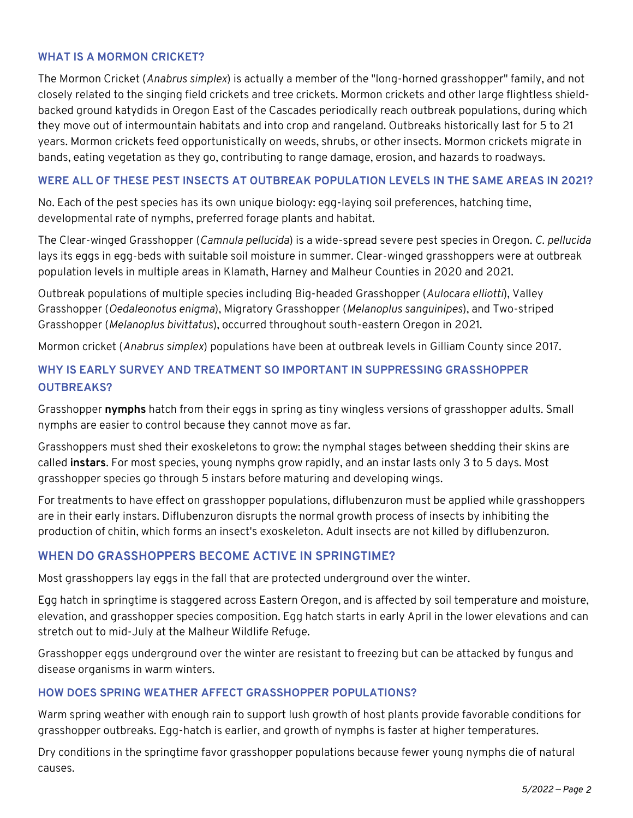## **WHAT IS A MORMON CRICKET?**

The Mormon Cricket (*Anabrus simplex*) is actually a member of the "long-horned grasshopper" family, and not closely related to the singing field crickets and tree crickets. Mormon crickets and other large flightless shieldbacked ground katydids in Oregon East of the Cascades periodically reach outbreak populations, during which they move out of intermountain habitats and into crop and rangeland. Outbreaks historically last for 5 to 21 years. Mormon crickets feed opportunistically on weeds, shrubs, or other insects. Mormon crickets migrate in bands, eating vegetation as they go, contributing to range damage, erosion, and hazards to roadways.

## **WERE ALL OF THESE PEST INSECTS AT OUTBREAK POPULATION LEVELS IN THE SAME AREAS IN 2021?**

No. Each of the pest species has its own unique biology: egg-laying soil preferences, hatching time, developmental rate of nymphs, preferred forage plants and habitat.

The Clear-winged Grasshopper (*Camnula pellucida*) is a wide-spread severe pest species in Oregon. *C. pellucida* lays its eggs in egg-beds with suitable soil moisture in summer. Clear-winged grasshoppers were at outbreak population levels in multiple areas in Klamath, Harney and Malheur Counties in 2020 and 2021.

Outbreak populations of multiple species including Big-headed Grasshopper (*Aulocara elliotti*), Valley Grasshopper (*Oedaleonotus enigma*), Migratory Grasshopper (*Melanoplus sanguinipes*), and Two-striped Grasshopper (*Melanoplus bivittatus*), occurred throughout south-eastern Oregon in 2021.

Mormon cricket (*Anabrus simplex*) populations have been at outbreak levels in Gilliam County since 2017.

## **WHY IS EARLY SURVEY AND TREATMENT SO IMPORTANT IN SUPPRESSING GRASSHOPPER OUTBREAKS?**

Grasshopper **nymphs** hatch from their eggs in spring as tiny wingless versions of grasshopper adults. Small nymphs are easier to control because they cannot move as far.

Grasshoppers must shed their exoskeletons to grow: the nymphal stages between shedding their skins are called **instars**. For most species, young nymphs grow rapidly, and an instar lasts only 3 to 5 days. Most grasshopper species go through 5 instars before maturing and developing wings.

For treatments to have effect on grasshopper populations, diflubenzuron must be applied while grasshoppers are in their early instars. Diflubenzuron disrupts the normal growth process of insects by inhibiting the production of chitin, which forms an insect's exoskeleton. Adult insects are not killed by diflubenzuron.

## **WHEN DO GRASSHOPPERS BECOME ACTIVE IN SPRINGTIME?**

Most grasshoppers lay eggs in the fall that are protected underground over the winter.

Egg hatch in springtime is staggered across Eastern Oregon, and is affected by soil temperature and moisture, elevation, and grasshopper species composition. Egg hatch starts in early April in the lower elevations and can stretch out to mid-July at the Malheur Wildlife Refuge.

Grasshopper eggs underground over the winter are resistant to freezing but can be attacked by fungus and disease organisms in warm winters.

## **HOW DOES SPRING WEATHER AFFECT GRASSHOPPER POPULATIONS?**

Warm spring weather with enough rain to support lush growth of host plants provide favorable conditions for grasshopper outbreaks. Egg-hatch is earlier, and growth of nymphs is faster at higher temperatures.

Dry conditions in the springtime favor grasshopper populations because fewer young nymphs die of natural causes.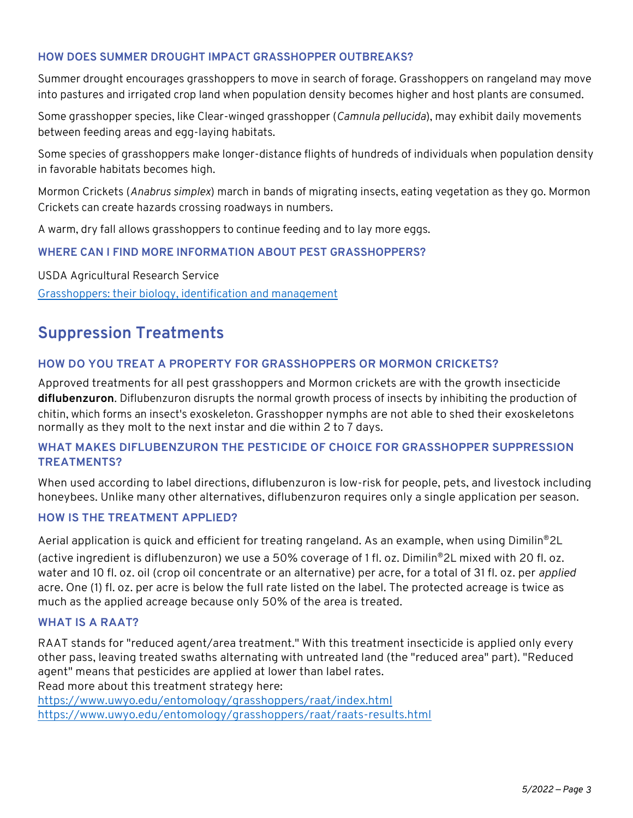## **HOW DOES SUMMER DROUGHT IMPACT GRASSHOPPER OUTBREAKS?**

Summer drought encourages grasshoppers to move in search of forage. Grasshoppers on rangeland may move into pastures and irrigated crop land when population density becomes higher and host plants are consumed.

Some grasshopper species, like Clear-winged grasshopper (*Camnula pellucida*), may exhibit daily movements between feeding areas and egg-laying habitats.

Some species of grasshoppers make longer-distance flights of hundreds of individuals when population density in favorable habitats becomes high.

Mormon Crickets (*Anabrus simplex*) march in bands of migrating insects, eating vegetation as they go. Mormon Crickets can create hazards crossing roadways in numbers.

A warm, dry fall allows grasshoppers to continue feeding and to lay more eggs.

## **WHERE CAN I FIND MORE INFORMATION ABOUT PEST GRASSHOPPERS?**

USDA Agricultural Research Service [Grasshoppers: their biology, identification and management](https://www.ars.usda.gov/plains-area/sidney-mt/northern-plains-agricultural-research-laboratory/pest-management-research/pmru-docs/grasshoppers-their-biology-identification-and-management/grasshopper-site-highlights/)

## **Suppression Treatments**

## **HOW DO YOU TREAT A PROPERTY FOR GRASSHOPPERS OR MORMON CRICKETS?**

Approved treatments for all pest grasshoppers and Mormon crickets are with the growth insecticide **diflubenzuron**. Diflubenzuron disrupts the normal growth process of insects by inhibiting the production of chitin, which forms an insect's exoskeleton. Grasshopper nymphs are not able to shed their exoskeletons normally as they molt to the next instar and die within 2 to 7 days.

## **WHAT MAKES DIFLUBENZURON THE PESTICIDE OF CHOICE FOR GRASSHOPPER SUPPRESSION TREATMENTS?**

When used according to label directions, diflubenzuron is low-risk for people, pets, and livestock including honeybees. Unlike many other alternatives, diflubenzuron requires only a single application per season.

#### **HOW IS THE TREATMENT APPLIED?**

Aerial application is quick and efficient for treating rangeland. As an example, when using Dimilin®2L

(active ingredient is diflubenzuron) we use a 50% coverage of 1 fl. oz. Dimilin®2L mixed with 20 fl. oz. water and 10 fl. oz. oil (crop oil concentrate or an alternative) per acre, for a total of 31 fl. oz. per *applied* acre. One (1) fl. oz. per acre is below the full rate listed on the label. The protected acreage is twice as much as the applied acreage because only 50% of the area is treated.

#### **WHAT IS A RAAT?**

RAAT stands for "reduced agent/area treatment." With this treatment insecticide is applied only every other pass, leaving treated swaths alternating with untreated land (the "reduced area" part). "Reduced agent" means that pesticides are applied at lower than label rates. Read more about this treatment strategy here:

https://www.uwyo.edu/entomology/grasshoppers/raat/index.html https://www.uwyo.edu/entomology/grasshoppers/raat/raats-results.html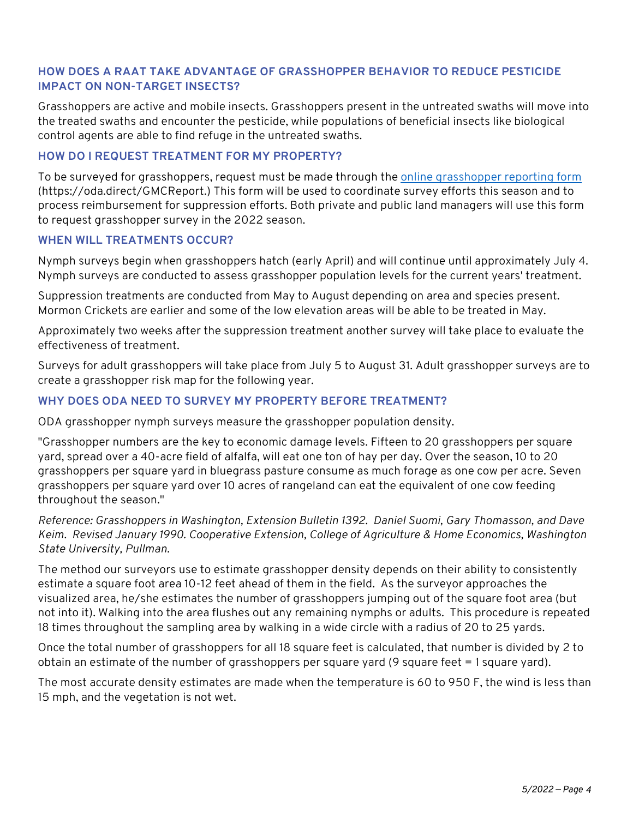## **HOW DOES A RAAT TAKE ADVANTAGE OF GRASSHOPPER BEHAVIOR TO REDUCE PESTICIDE IMPACT ON NON-TARGET INSECTS?**

Grasshoppers are active and mobile insects. Grasshoppers present in the untreated swaths will move into the treated swaths and encounter the pesticide, while populations of beneficial insects like biological control agents are able to find refuge in the untreated swaths.

## **HOW DO I REQUEST TREATMENT FOR MY PROPERTY?**

To be surveyed for grasshoppers, request must be made through th[e online grasshopper reporting form](https://oda.fyi/GHMC) (https://oda.direct/GMCReport.) This form will be used to coordinate survey efforts this season and to process reimbursement for suppression efforts. Both private and public land managers will use this form to request grasshopper survey in the 2022 season.

#### **WHEN WILL TREATMENTS OCCUR?**

Nymph surveys begin when grasshoppers hatch (early April) and will continue until approximately July 4. Nymph surveys are conducted to assess grasshopper population levels for the current years' treatment.

Suppression treatments are conducted from May to August depending on area and species present. Mormon Crickets are earlier and some of the low elevation areas will be able to be treated in May.

Approximately two weeks after the suppression treatment another survey will take place to evaluate the effectiveness of treatment.

Surveys for adult grasshoppers will take place from July 5 to August 31. Adult grasshopper surveys are to create a grasshopper risk map for the following year.

## **WHY DOES ODA NEED TO SURVEY MY PROPERTY BEFORE TREATMENT?**

ODA grasshopper nymph surveys measure the grasshopper population density.

"Grasshopper numbers are the key to economic damage levels. Fifteen to 20 grasshoppers per square yard, spread over a 40-acre field of alfalfa, will eat one ton of hay per day. Over the season, 10 to 20 grasshoppers per square yard in bluegrass pasture consume as much forage as one cow per acre. Seven grasshoppers per square yard over 10 acres of rangeland can eat the equivalent of one cow feeding throughout the season."

*Reference: Grasshoppers in Washington, Extension Bulletin 1392. Daniel Suomi, Gary Thomasson, and Dave Keim. Revised January 1990. Cooperative Extension, College of Agriculture & Home Economics, Washington State University, Pullman.*

The method our surveyors use to estimate grasshopper density depends on their ability to consistently estimate a square foot area 10-12 feet ahead of them in the field. As the surveyor approaches the visualized area, he/she estimates the number of grasshoppers jumping out of the square foot area (but not into it). Walking into the area flushes out any remaining nymphs or adults. This procedure is repeated 18 times throughout the sampling area by walking in a wide circle with a radius of 20 to 25 yards.

Once the total number of grasshoppers for all 18 square feet is calculated, that number is divided by 2 to obtain an estimate of the number of grasshoppers per square yard (9 square feet = 1 square yard).

The most accurate density estimates are made when the temperature is 60 to 950 F, the wind is less than 15 mph, and the vegetation is not wet.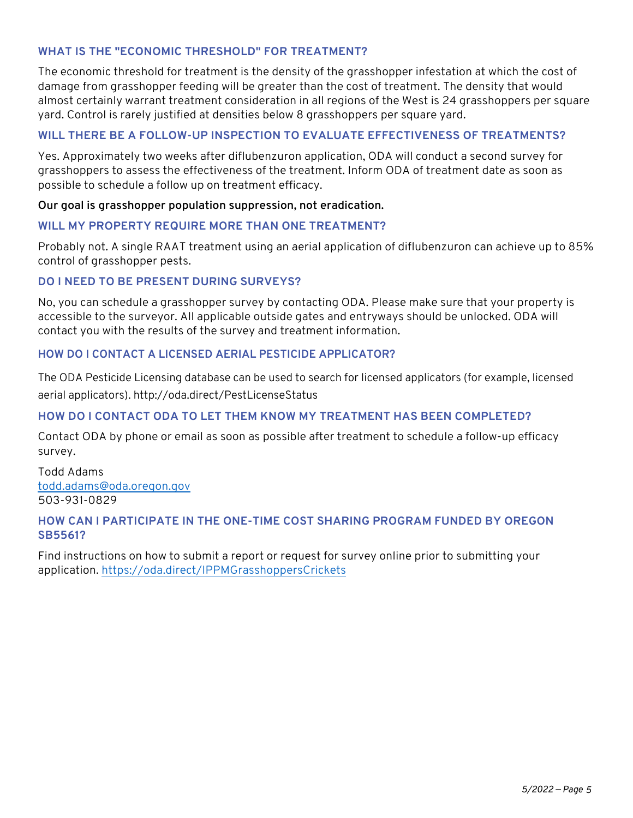## **WHAT IS THE "ECONOMIC THRESHOLD" FOR TREATMENT?**

The economic threshold for treatment is the density of the grasshopper infestation at which the cost of damage from grasshopper feeding will be greater than the cost of treatment. The density that would almost certainly warrant treatment consideration in all regions of the West is 24 grasshoppers per square yard. Control is rarely justified at densities below 8 grasshoppers per square yard.

## **WILL THERE BE A FOLLOW-UP INSPECTION TO EVALUATE EFFECTIVENESS OF TREATMENTS?**

Yes. Approximately two weeks after diflubenzuron application, ODA will conduct a second survey for grasshoppers to assess the effectiveness of the treatment. Inform ODA of treatment date as soon as possible to schedule a follow up on treatment efficacy.

#### **Our goal is grasshopper population suppression, not eradication.**

#### **WILL MY PROPERTY REQUIRE MORE THAN ONE TREATMENT?**

Probably not. A single RAAT treatment using an aerial application of diflubenzuron can achieve up to 85% control of grasshopper pests.

#### **DO I NEED TO BE PRESENT DURING SURVEYS?**

No, you can schedule a grasshopper survey by contacting ODA. Please make sure that your property is accessible to the surveyor. All applicable outside gates and entryways should be unlocked. ODA will contact you with the results of the survey and treatment information.

#### **HOW DO I CONTACT A LICENSED AERIAL PESTICIDE APPLICATOR?**

The ODA Pesticide Licensing database can be used to search for licensed applicators (for example, licensed aerial applicators). http://oda.direct/PestLicenseStatus

#### **HOW DO I CONTACT ODA TO LET THEM KNOW MY TREATMENT HAS BEEN COMPLETED?**

Contact ODA by phone or email as soon as possible after treatment to schedule a follow-up efficacy survey.

Todd Adams todd.adams@oda.oregon.gov 503-931-0829

#### **HOW CAN I PARTICIPATE IN THE ONE-TIME COST SHARING PROGRAM FUNDED BY OREGON SB5561?**

Find instructions on how to submit a report or request for survey online prior to submitting your application. https://oda.direct/IPPMGrasshoppersCrickets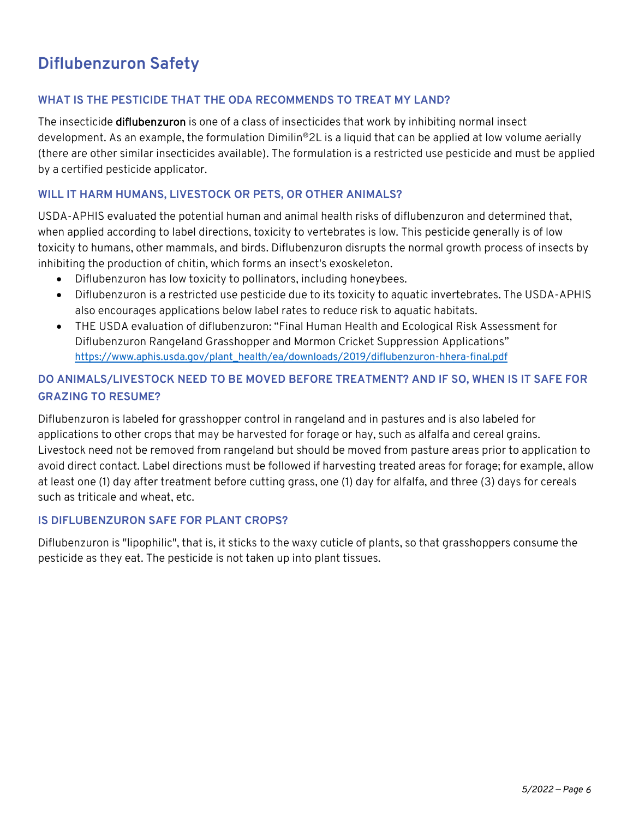## **Diflubenzuron Safety**

## **WHAT IS THE PESTICIDE THAT THE ODA RECOMMENDS TO TREAT MY LAND?**

The insecticide **diflubenzuron** is one of a class of insecticides that work by inhibiting normal insect development. As an example, the formulation Dimilin®2L is a liquid that can be applied at low volume aerially (there are other similar insecticides available). The formulation is a restricted use pesticide and must be applied by a certified pesticide applicator.

## **WILL IT HARM HUMANS, LIVESTOCK OR PETS, OR OTHER ANIMALS?**

USDA-APHIS evaluated the potential human and animal health risks of diflubenzuron and determined that, when applied according to label directions, toxicity to vertebrates is low. This pesticide generally is of low toxicity to humans, other mammals, and birds. Diflubenzuron disrupts the normal growth process of insects by inhibiting the production of chitin, which forms an insect's exoskeleton.

- Diflubenzuron has low toxicity to pollinators, including honeybees.
- Diflubenzuron is a restricted use pesticide due to its toxicity to aquatic invertebrates. The USDA-APHIS also encourages applications below label rates to reduce risk to aquatic habitats.
- THE USDA evaluation of diflubenzuron: "Final Human Health and Ecological Risk Assessment for Diflubenzuron Rangeland Grasshopper and Mormon Cricket Suppression Applications" https://www.aphis.usda.gov/plant\_health/ea/downloads/2019/diflubenzuron-hhera-final.pdf

## **DO ANIMALS/LIVESTOCK NEED TO BE MOVED BEFORE TREATMENT? AND IF SO, WHEN IS IT SAFE FOR GRAZING TO RESUME?**

Diflubenzuron is labeled for grasshopper control in rangeland and in pastures and is also labeled for applications to other crops that may be harvested for forage or hay, such as alfalfa and cereal grains. Livestock need not be removed from rangeland but should be moved from pasture areas prior to application to avoid direct contact. Label directions must be followed if harvesting treated areas for forage; for example, allow at least one (1) day after treatment before cutting grass, one (1) day for alfalfa, and three (3) days for cereals such as triticale and wheat, etc.

## **IS DIFLUBENZURON SAFE FOR PLANT CROPS?**

Diflubenzuron is "lipophilic", that is, it sticks to the waxy cuticle of plants, so that grasshoppers consume the pesticide as they eat. The pesticide is not taken up into plant tissues.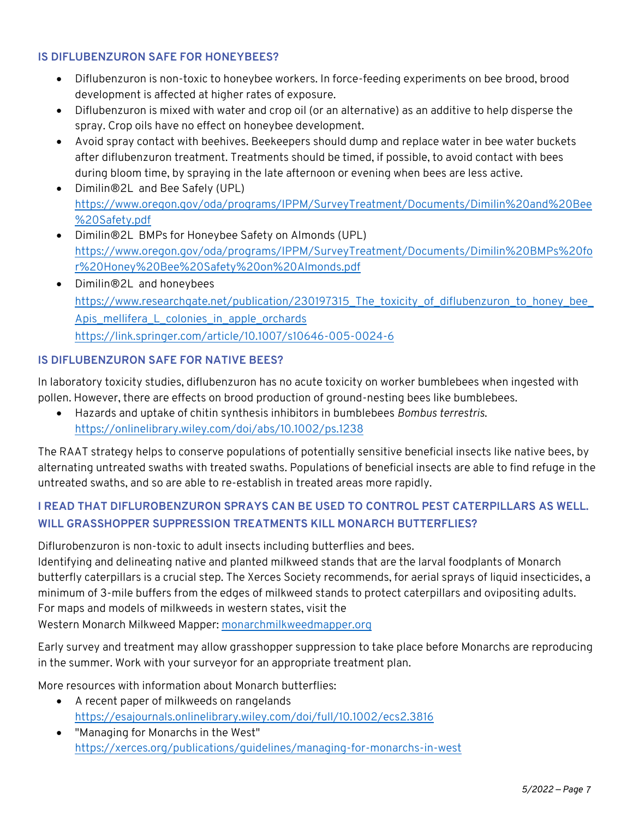## **IS DIFLUBENZURON SAFE FOR HONEYBEES?**

- Diflubenzuron is non-toxic to honeybee workers. In force-feeding experiments on bee brood, brood development is affected at higher rates of exposure.
- Diflubenzuron is mixed with water and crop oil (or an alternative) as an additive to help disperse the spray. Crop oils have no effect on honeybee development.
- Avoid spray contact with beehives. Beekeepers should dump and replace water in bee water buckets after diflubenzuron treatment. Treatments should be timed, if possible, to avoid contact with bees during bloom time, by spraying in the late afternoon or evening when bees are less active.
- Dimilin®2L and Bee Safely (UPL) [https://www.oregon.gov/oda/programs/IPPM/SurveyTreatment/Documents/Dimilin%20and%20Bee](https://www.oregon.gov/oda/programs/IPPM/SurveyTreatment/Documents/Dimilin%20and%20Bee%20Safety.pdf) %20Safety.pdf
- Dimilin®2L BMPs for Honeybee Safety on Almonds (UPL) [https://www.oregon.gov/oda/programs/IPPM/SurveyTreatment/Documents/Dimilin%20BMPs%20fo](https://www.oregon.gov/oda/programs/IPPM/SurveyTreatment/Documents/Dimilin%20BMPs%20for%20Honey%20Bee%20Safety%20on%20Almonds.pdf) r%20Honey%20Bee%20Safety%20on%20Almonds.pdf
- Dimilin®2L and honeybees [https://www.researchgate.net/publication/230197315\\_The\\_toxicity\\_of\\_diflubenzuron\\_to\\_honey\\_bee\\_](https://www.researchgate.net/publication/230197315_The_toxicity_of_diflubenzuron_to_honey_bee_Apis_mellifera_L_colonies_in_apple_orchards) Apis\_mellifera\_L\_colonies\_in\_apple\_orchards https://link.springer.com/article/10.1007/s10646-005-0024-6

## **IS DIFLUBENZURON SAFE FOR NATIVE BEES?**

In laboratory toxicity studies, diflubenzuron has no acute toxicity on worker bumblebees when ingested with pollen. However, there are effects on brood production of ground-nesting bees like bumblebees.

• Hazards and uptake of chitin synthesis inhibitors in bumblebees *Bombus terrestris*. https://onlinelibrary.wiley.com/doi/abs/10.1002/ps.1238

The RAAT strategy helps to conserve populations of potentially sensitive beneficial insects like native bees, by alternating untreated swaths with treated swaths. Populations of beneficial insects are able to find refuge in the untreated swaths, and so are able to re-establish in treated areas more rapidly.

## **I READ THAT DIFLUROBENZURON SPRAYS CAN BE USED TO CONTROL PEST CATERPILLARS AS WELL. WILL GRASSHOPPER SUPPRESSION TREATMENTS KILL MONARCH BUTTERFLIES?**

Diflurobenzuron is non-toxic to adult insects including butterflies and bees.

Identifying and delineating native and planted milkweed stands that are the larval foodplants of Monarch butterfly caterpillars is a crucial step. The Xerces Society recommends, for aerial sprays of liquid insecticides, a minimum of 3-mile buffers from the edges of milkweed stands to protect caterpillars and ovipositing adults. For maps and models of milkweeds in western states, visit the Western Monarch Milkweed Mapper: [monarchmilkweedmapper.org](https://www.monarchmilkweedmapper.org/)

Early survey and treatment may allow grasshopper suppression to take place before Monarchs are reproducing in the summer. Work with your surveyor for an appropriate treatment plan.

More resources with information about Monarch butterflies:

- A recent paper of milkweeds on rangelands https://esajournals.onlinelibrary.wiley.com/doi/full/10.1002/ecs2.3816
- "Managing for Monarchs in the West" https://xerces.org/publications/guidelines/managing-for-monarchs-in-west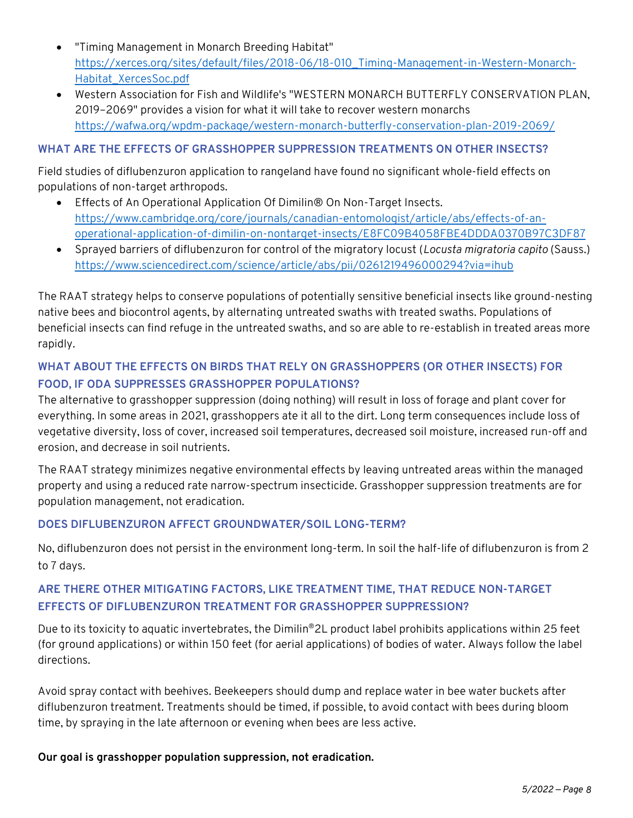- "Timing Management in Monarch Breeding Habitat" https://xerces.org/sites/default/files/2018-06/18-010\_Timing-Management-in-Western-Monarch-Habitat\_XercesSoc.pdf
- Western Association for Fish and Wildlife's "WESTERN MONARCH BUTTERFLY CONSERVATION PLAN, 2019–2069" provides a vision for what it will take to recover western monarchs https://wafwa.org/wpdm-package/western-monarch-butterfly-conservation-plan-2019-2069/

## **WHAT ARE THE EFFECTS OF GRASSHOPPER SUPPRESSION TREATMENTS ON OTHER INSECTS?**

Field studies of diflubenzuron application to rangeland have found no significant whole-field effects on populations of non-target arthropods.

- Effects of An Operational Application Of Dimilin® On Non-Target Insects. https://www.cambridge.org/core/journals/canadian-entomologist/article/abs/effects-of-anoperational-application-of-dimilin-on-nontarget-insects/E8FC09B4058FBE4DDDA0370B97C3DF87
- Sprayed barriers of diflubenzuron for control of the migratory locust (*Locusta migratoria capito* (Sauss.) https://www.sciencedirect.com/science/article/abs/pii/0261219496000294?via=ihub

The RAAT strategy helps to conserve populations of potentially sensitive beneficial insects like ground-nesting native bees and biocontrol agents, by alternating untreated swaths with treated swaths. Populations of beneficial insects can find refuge in the untreated swaths, and so are able to re-establish in treated areas more rapidly.

## **WHAT ABOUT THE EFFECTS ON BIRDS THAT RELY ON GRASSHOPPERS (OR OTHER INSECTS) FOR FOOD, IF ODA SUPPRESSES GRASSHOPPER POPULATIONS?**

The alternative to grasshopper suppression (doing nothing) will result in loss of forage and plant cover for everything. In some areas in 2021, grasshoppers ate it all to the dirt. Long term consequences include loss of vegetative diversity, loss of cover, increased soil temperatures, decreased soil moisture, increased run-off and erosion, and decrease in soil nutrients.

The RAAT strategy minimizes negative environmental effects by leaving untreated areas within the managed property and using a reduced rate narrow-spectrum insecticide. Grasshopper suppression treatments are for population management, not eradication.

## **DOES DIFLUBENZURON AFFECT GROUNDWATER/SOIL LONG-TERM?**

No, diflubenzuron does not persist in the environment long-term. In soil the half-life of diflubenzuron is from 2 to 7 days.

## **ARE THERE OTHER MITIGATING FACTORS, LIKE TREATMENT TIME, THAT REDUCE NON-TARGET EFFECTS OF DIFLUBENZURON TREATMENT FOR GRASSHOPPER SUPPRESSION?**

Due to its toxicity to aquatic invertebrates, the Dimilin®2L product label prohibits applications within 25 feet (for ground applications) or within 150 feet (for aerial applications) of bodies of water. Always follow the label directions.

Avoid spray contact with beehives. Beekeepers should dump and replace water in bee water buckets after diflubenzuron treatment. Treatments should be timed, if possible, to avoid contact with bees during bloom time, by spraying in the late afternoon or evening when bees are less active.

**Our goal is grasshopper population suppression, not eradication.**